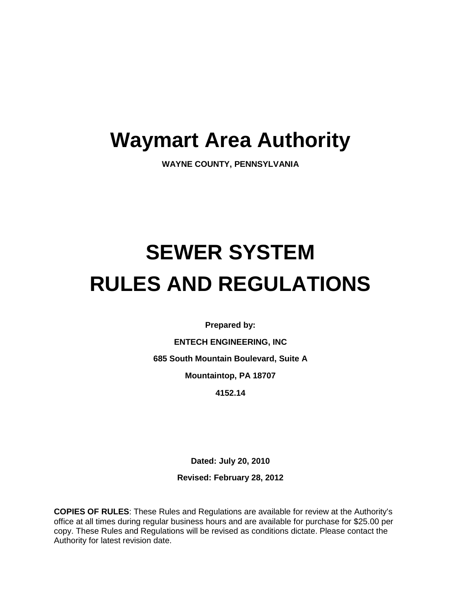# **Waymart Area Authority**

**WAYNE COUNTY, PENNSYLVANIA**

# **SEWER SYSTEM RULES AND REGULATIONS**

**Prepared by:**

**ENTECH ENGINEERING, INC 685 South Mountain Boulevard, Suite A**

**Mountaintop, PA 18707**

**4152.14**

**Dated: July 20, 2010**

**Revised: February 28, 2012**

**COPIES OF RULES**: These Rules and Regulations are available for review at the Authority's office at all times during regular business hours and are available for purchase for \$25.00 per copy. These Rules and Regulations will be revised as conditions dictate. Please contact the Authority for latest revision date.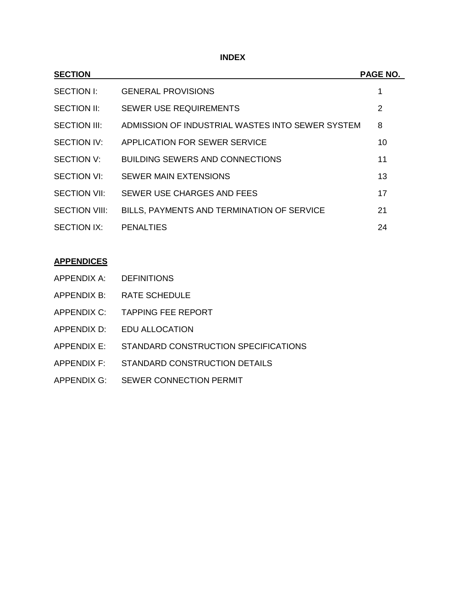**INDEX**

| <b>SECTION</b>       |                                                  | <b>PAGE NO.</b> |
|----------------------|--------------------------------------------------|-----------------|
| SECTION I:           | <b>GENERAL PROVISIONS</b>                        | 1               |
| <b>SECTION II:</b>   | <b>SEWER USE REQUIREMENTS</b>                    | $\overline{2}$  |
| <b>SECTION III:</b>  | ADMISSION OF INDUSTRIAL WASTES INTO SEWER SYSTEM | 8               |
| <b>SECTION IV:</b>   | APPLICATION FOR SEWER SERVICE                    | 10              |
| <b>SECTION V:</b>    | <b>BUILDING SEWERS AND CONNECTIONS</b>           | 11              |
| <b>SECTION VI:</b>   | <b>SEWER MAIN EXTENSIONS</b>                     | 13              |
| <b>SECTION VII:</b>  | SEWER USE CHARGES AND FEES                       | 17              |
| <b>SECTION VIII:</b> | BILLS, PAYMENTS AND TERMINATION OF SERVICE       | 21              |
| <b>SECTION IX:</b>   | <b>PENALTIES</b>                                 | 24              |

# **APPENDICES**

- APPENDIX B: RATE SCHEDULE
- APPENDIX C: TAPPING FEE REPORT
- APPENDIX D: EDU ALLOCATION
- APPENDIX E: STANDARD CONSTRUCTION SPECIFICATIONS
- APPENDIX F: STANDARD CONSTRUCTION DETAILS
- APPENDIX G: SEWER CONNECTION PERMIT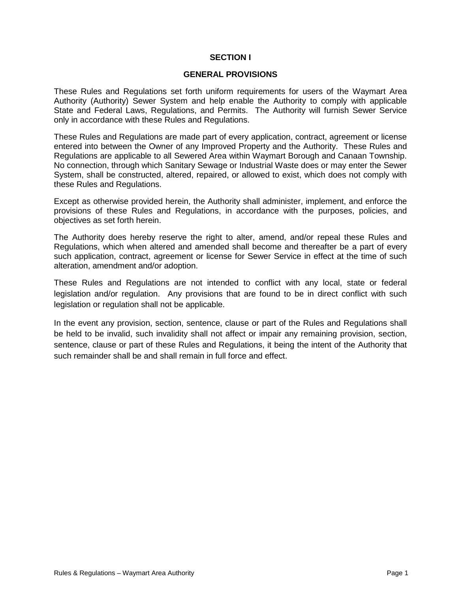# **SECTION I**

#### **GENERAL PROVISIONS**

These Rules and Regulations set forth uniform requirements for users of the Waymart Area Authority (Authority) Sewer System and help enable the Authority to comply with applicable State and Federal Laws, Regulations, and Permits. The Authority will furnish Sewer Service only in accordance with these Rules and Regulations.

These Rules and Regulations are made part of every application, contract, agreement or license entered into between the Owner of any Improved Property and the Authority. These Rules and Regulations are applicable to all Sewered Area within Waymart Borough and Canaan Township. No connection, through which Sanitary Sewage or Industrial Waste does or may enter the Sewer System, shall be constructed, altered, repaired, or allowed to exist, which does not comply with these Rules and Regulations.

Except as otherwise provided herein, the Authority shall administer, implement, and enforce the provisions of these Rules and Regulations, in accordance with the purposes, policies, and objectives as set forth herein.

The Authority does hereby reserve the right to alter, amend, and/or repeal these Rules and Regulations, which when altered and amended shall become and thereafter be a part of every such application, contract, agreement or license for Sewer Service in effect at the time of such alteration, amendment and/or adoption.

These Rules and Regulations are not intended to conflict with any local, state or federal legislation and/or regulation. Any provisions that are found to be in direct conflict with such legislation or regulation shall not be applicable.

In the event any provision, section, sentence, clause or part of the Rules and Regulations shall be held to be invalid, such invalidity shall not affect or impair any remaining provision, section, sentence, clause or part of these Rules and Regulations, it being the intent of the Authority that such remainder shall be and shall remain in full force and effect.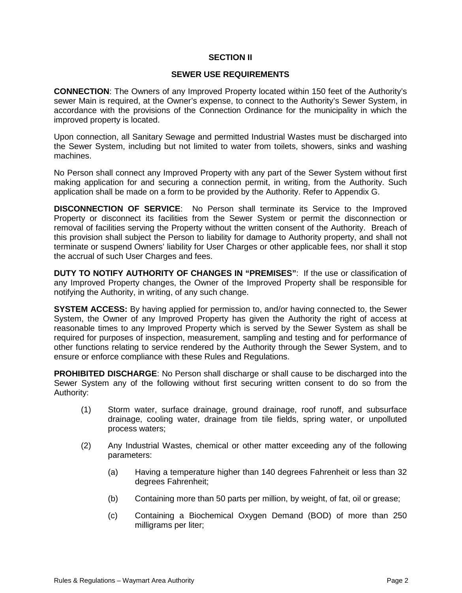# **SECTION II**

#### **SEWER USE REQUIREMENTS**

**CONNECTION**: The Owners of any Improved Property located within 150 feet of the Authority's sewer Main is required, at the Owner's expense, to connect to the Authority's Sewer System, in accordance with the provisions of the Connection Ordinance for the municipality in which the improved property is located.

Upon connection, all Sanitary Sewage and permitted Industrial Wastes must be discharged into the Sewer System, including but not limited to water from toilets, showers, sinks and washing machines.

No Person shall connect any Improved Property with any part of the Sewer System without first making application for and securing a connection permit, in writing, from the Authority. Such application shall be made on a form to be provided by the Authority. Refer to Appendix G.

**DISCONNECTION OF SERVICE**: No Person shall terminate its Service to the Improved Property or disconnect its facilities from the Sewer System or permit the disconnection or removal of facilities serving the Property without the written consent of the Authority. Breach of this provision shall subject the Person to liability for damage to Authority property, and shall not terminate or suspend Owners' liability for User Charges or other applicable fees, nor shall it stop the accrual of such User Charges and fees.

**DUTY TO NOTIFY AUTHORITY OF CHANGES IN "PREMISES"**: If the use or classification of any Improved Property changes, the Owner of the Improved Property shall be responsible for notifying the Authority, in writing, of any such change.

**SYSTEM ACCESS:** By having applied for permission to, and/or having connected to, the Sewer System, the Owner of any Improved Property has given the Authority the right of access at reasonable times to any Improved Property which is served by the Sewer System as shall be required for purposes of inspection, measurement, sampling and testing and for performance of other functions relating to service rendered by the Authority through the Sewer System, and to ensure or enforce compliance with these Rules and Regulations.

**PROHIBITED DISCHARGE**: No Person shall discharge or shall cause to be discharged into the Sewer System any of the following without first securing written consent to do so from the Authority:

- (1) Storm water, surface drainage, ground drainage, roof runoff, and subsurface drainage, cooling water, drainage from tile fields, spring water, or unpolluted process waters;
- (2) Any Industrial Wastes, chemical or other matter exceeding any of the following parameters:
	- (a) Having a temperature higher than 140 degrees Fahrenheit or less than 32 degrees Fahrenheit;
	- (b) Containing more than 50 parts per million, by weight, of fat, oil or grease;
	- (c) Containing a Biochemical Oxygen Demand (BOD) of more than 250 milligrams per liter;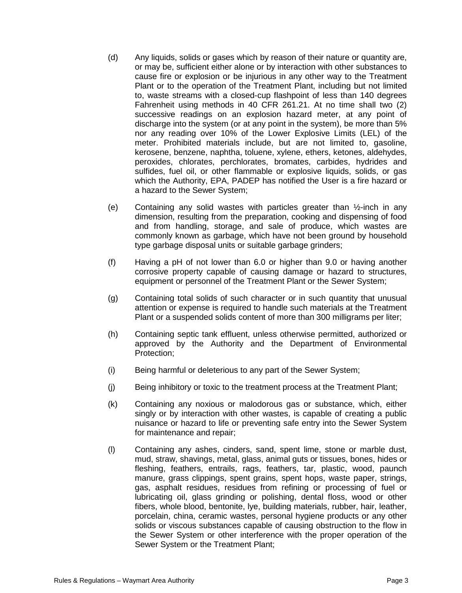- (d) Any liquids, solids or gases which by reason of their nature or quantity are, or may be, sufficient either alone or by interaction with other substances to cause fire or explosion or be injurious in any other way to the Treatment Plant or to the operation of the Treatment Plant, including but not limited to, waste streams with a closed-cup flashpoint of less than 140 degrees Fahrenheit using methods in 40 CFR 261.21. At no time shall two (2) successive readings on an explosion hazard meter, at any point of discharge into the system (or at any point in the system), be more than 5% nor any reading over 10% of the Lower Explosive Limits (LEL) of the meter. Prohibited materials include, but are not limited to, gasoline, kerosene, benzene, naphtha, toluene, xylene, ethers, ketones, aldehydes, peroxides, chlorates, perchlorates, bromates, carbides, hydrides and sulfides, fuel oil, or other flammable or explosive liquids, solids, or gas which the Authority, EPA, PADEP has notified the User is a fire hazard or a hazard to the Sewer System;
- (e) Containing any solid wastes with particles greater than  $\frac{1}{2}$ -inch in any dimension, resulting from the preparation, cooking and dispensing of food and from handling, storage, and sale of produce, which wastes are commonly known as garbage, which have not been ground by household type garbage disposal units or suitable garbage grinders;
- (f) Having a pH of not lower than 6.0 or higher than 9.0 or having another corrosive property capable of causing damage or hazard to structures, equipment or personnel of the Treatment Plant or the Sewer System;
- (g) Containing total solids of such character or in such quantity that unusual attention or expense is required to handle such materials at the Treatment Plant or a suspended solids content of more than 300 milligrams per liter;
- (h) Containing septic tank effluent, unless otherwise permitted, authorized or approved by the Authority and the Department of Environmental Protection;
- (i) Being harmful or deleterious to any part of the Sewer System;
- (j) Being inhibitory or toxic to the treatment process at the Treatment Plant;
- (k) Containing any noxious or malodorous gas or substance, which, either singly or by interaction with other wastes, is capable of creating a public nuisance or hazard to life or preventing safe entry into the Sewer System for maintenance and repair;
- (l) Containing any ashes, cinders, sand, spent lime, stone or marble dust, mud, straw, shavings, metal, glass, animal guts or tissues, bones, hides or fleshing, feathers, entrails, rags, feathers, tar, plastic, wood, paunch manure, grass clippings, spent grains, spent hops, waste paper, strings, gas, asphalt residues, residues from refining or processing of fuel or lubricating oil, glass grinding or polishing, dental floss, wood or other fibers, whole blood, bentonite, lye, building materials, rubber, hair, leather, porcelain, china, ceramic wastes, personal hygiene products or any other solids or viscous substances capable of causing obstruction to the flow in the Sewer System or other interference with the proper operation of the Sewer System or the Treatment Plant;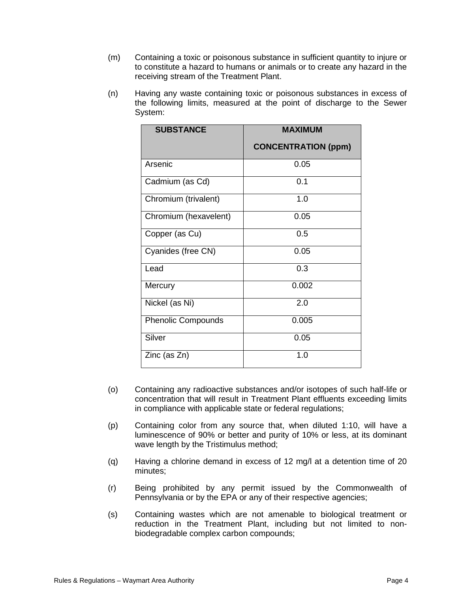- (m) Containing a toxic or poisonous substance in sufficient quantity to injure or to constitute a hazard to humans or animals or to create any hazard in the receiving stream of the Treatment Plant.
- (n) Having any waste containing toxic or poisonous substances in excess of the following limits, measured at the point of discharge to the Sewer System:

| <b>SUBSTANCE</b>          | <b>MAXIMUM</b>             |  |
|---------------------------|----------------------------|--|
|                           | <b>CONCENTRATION (ppm)</b> |  |
| Arsenic                   | 0.05                       |  |
| Cadmium (as Cd)           | 0.1                        |  |
| Chromium (trivalent)      | 1.0                        |  |
| Chromium (hexavelent)     | 0.05                       |  |
| Copper (as Cu)            | 0.5                        |  |
| Cyanides (free CN)        | 0.05                       |  |
| Lead                      | 0.3                        |  |
| Mercury                   | 0.002                      |  |
| Nickel (as Ni)            | 2.0                        |  |
| <b>Phenolic Compounds</b> | 0.005                      |  |
| Silver                    | 0.05                       |  |
| Zinc (as Zn)              | 1.0                        |  |

- (o) Containing any radioactive substances and/or isotopes of such half-life or concentration that will result in Treatment Plant effluents exceeding limits in compliance with applicable state or federal regulations;
- (p) Containing color from any source that, when diluted 1:10, will have a luminescence of 90% or better and purity of 10% or less, at its dominant wave length by the Tristimulus method;
- (q) Having a chlorine demand in excess of 12 mg/l at a detention time of 20 minutes;
- (r) Being prohibited by any permit issued by the Commonwealth of Pennsylvania or by the EPA or any of their respective agencies;
- (s) Containing wastes which are not amenable to biological treatment or reduction in the Treatment Plant, including but not limited to nonbiodegradable complex carbon compounds;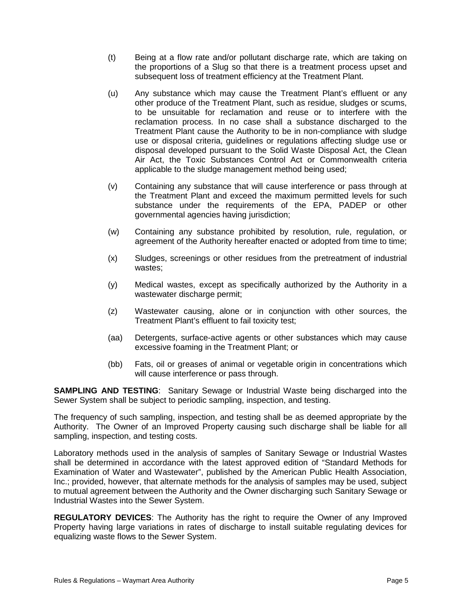- (t) Being at a flow rate and/or pollutant discharge rate, which are taking on the proportions of a Slug so that there is a treatment process upset and subsequent loss of treatment efficiency at the Treatment Plant.
- (u) Any substance which may cause the Treatment Plant's effluent or any other produce of the Treatment Plant, such as residue, sludges or scums, to be unsuitable for reclamation and reuse or to interfere with the reclamation process. In no case shall a substance discharged to the Treatment Plant cause the Authority to be in non-compliance with sludge use or disposal criteria, guidelines or regulations affecting sludge use or disposal developed pursuant to the Solid Waste Disposal Act, the Clean Air Act, the Toxic Substances Control Act or Commonwealth criteria applicable to the sludge management method being used;
- (v) Containing any substance that will cause interference or pass through at the Treatment Plant and exceed the maximum permitted levels for such substance under the requirements of the EPA, PADEP or other governmental agencies having jurisdiction;
- (w) Containing any substance prohibited by resolution, rule, regulation, or agreement of the Authority hereafter enacted or adopted from time to time;
- (x) Sludges, screenings or other residues from the pretreatment of industrial wastes;
- (y) Medical wastes, except as specifically authorized by the Authority in a wastewater discharge permit;
- (z) Wastewater causing, alone or in conjunction with other sources, the Treatment Plant's effluent to fail toxicity test;
- (aa) Detergents, surface-active agents or other substances which may cause excessive foaming in the Treatment Plant; or
- (bb) Fats, oil or greases of animal or vegetable origin in concentrations which will cause interference or pass through.

**SAMPLING AND TESTING**: Sanitary Sewage or Industrial Waste being discharged into the Sewer System shall be subject to periodic sampling, inspection, and testing.

The frequency of such sampling, inspection, and testing shall be as deemed appropriate by the Authority. The Owner of an Improved Property causing such discharge shall be liable for all sampling, inspection, and testing costs.

Laboratory methods used in the analysis of samples of Sanitary Sewage or Industrial Wastes shall be determined in accordance with the latest approved edition of "Standard Methods for Examination of Water and Wastewater", published by the American Public Health Association, Inc.; provided, however, that alternate methods for the analysis of samples may be used, subject to mutual agreement between the Authority and the Owner discharging such Sanitary Sewage or Industrial Wastes into the Sewer System.

**REGULATORY DEVICES**: The Authority has the right to require the Owner of any Improved Property having large variations in rates of discharge to install suitable regulating devices for equalizing waste flows to the Sewer System.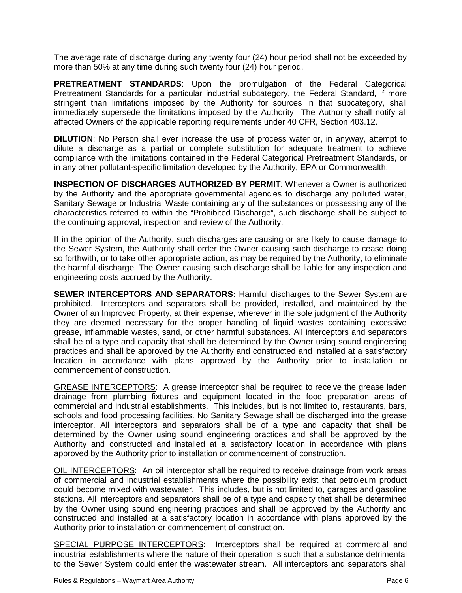The average rate of discharge during any twenty four (24) hour period shall not be exceeded by more than 50% at any time during such twenty four (24) hour period.

**PRETREATMENT STANDARDS**: Upon the promulgation of the Federal Categorical Pretreatment Standards for a particular industrial subcategory, the Federal Standard, if more stringent than limitations imposed by the Authority for sources in that subcategory, shall immediately supersede the limitations imposed by the Authority The Authority shall notify all affected Owners of the applicable reporting requirements under 40 CFR, Section 403.12.

**DILUTION**: No Person shall ever increase the use of process water or, in anyway, attempt to dilute a discharge as a partial or complete substitution for adequate treatment to achieve compliance with the limitations contained in the Federal Categorical Pretreatment Standards, or in any other pollutant-specific limitation developed by the Authority, EPA or Commonwealth.

**INSPECTION OF DISCHARGES AUTHORIZED BY PERMIT**: Whenever a Owner is authorized by the Authority and the appropriate governmental agencies to discharge any polluted water, Sanitary Sewage or Industrial Waste containing any of the substances or possessing any of the characteristics referred to within the "Prohibited Discharge", such discharge shall be subject to the continuing approval, inspection and review of the Authority.

If in the opinion of the Authority, such discharges are causing or are likely to cause damage to the Sewer System, the Authority shall order the Owner causing such discharge to cease doing so forthwith, or to take other appropriate action, as may be required by the Authority, to eliminate the harmful discharge. The Owner causing such discharge shall be liable for any inspection and engineering costs accrued by the Authority.

**SEWER INTERCEPTORS AND SEPARATORS:** Harmful discharges to the Sewer System are prohibited. Interceptors and separators shall be provided, installed, and maintained by the Owner of an Improved Property, at their expense, wherever in the sole judgment of the Authority they are deemed necessary for the proper handling of liquid wastes containing excessive grease, inflammable wastes, sand, or other harmful substances. All interceptors and separators shall be of a type and capacity that shall be determined by the Owner using sound engineering practices and shall be approved by the Authority and constructed and installed at a satisfactory location in accordance with plans approved by the Authority prior to installation or commencement of construction.

GREASE INTERCEPTORS: A grease interceptor shall be required to receive the grease laden drainage from plumbing fixtures and equipment located in the food preparation areas of commercial and industrial establishments. This includes, but is not limited to, restaurants, bars, schools and food processing facilities. No Sanitary Sewage shall be discharged into the grease interceptor. All interceptors and separators shall be of a type and capacity that shall be determined by the Owner using sound engineering practices and shall be approved by the Authority and constructed and installed at a satisfactory location in accordance with plans approved by the Authority prior to installation or commencement of construction.

OIL INTERCEPTORS: An oil interceptor shall be required to receive drainage from work areas of commercial and industrial establishments where the possibility exist that petroleum product could become mixed with wastewater. This includes, but is not limited to, garages and gasoline stations. All interceptors and separators shall be of a type and capacity that shall be determined by the Owner using sound engineering practices and shall be approved by the Authority and constructed and installed at a satisfactory location in accordance with plans approved by the Authority prior to installation or commencement of construction.

SPECIAL PURPOSE INTERCEPTORS: Interceptors shall be required at commercial and industrial establishments where the nature of their operation is such that a substance detrimental to the Sewer System could enter the wastewater stream. All interceptors and separators shall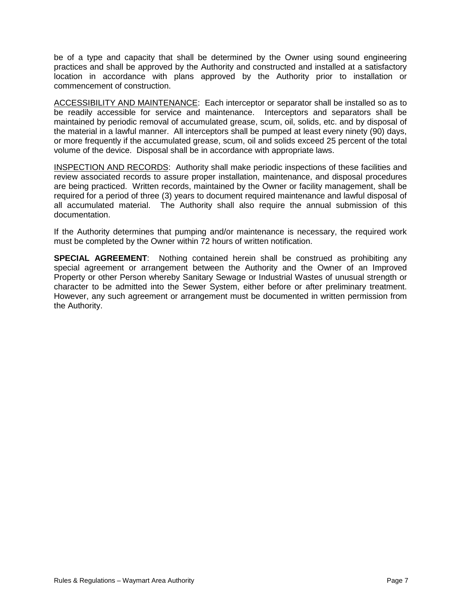be of a type and capacity that shall be determined by the Owner using sound engineering practices and shall be approved by the Authority and constructed and installed at a satisfactory location in accordance with plans approved by the Authority prior to installation or commencement of construction.

ACCESSIBILITY AND MAINTENANCE: Each interceptor or separator shall be installed so as to be readily accessible for service and maintenance. Interceptors and separators shall be maintained by periodic removal of accumulated grease, scum, oil, solids, etc. and by disposal of the material in a lawful manner. All interceptors shall be pumped at least every ninety (90) days, or more frequently if the accumulated grease, scum, oil and solids exceed 25 percent of the total volume of the device. Disposal shall be in accordance with appropriate laws.

INSPECTION AND RECORDS: Authority shall make periodic inspections of these facilities and review associated records to assure proper installation, maintenance, and disposal procedures are being practiced. Written records, maintained by the Owner or facility management, shall be required for a period of three (3) years to document required maintenance and lawful disposal of all accumulated material. The Authority shall also require the annual submission of this documentation.

If the Authority determines that pumping and/or maintenance is necessary, the required work must be completed by the Owner within 72 hours of written notification.

**SPECIAL AGREEMENT**: Nothing contained herein shall be construed as prohibiting any special agreement or arrangement between the Authority and the Owner of an Improved Property or other Person whereby Sanitary Sewage or Industrial Wastes of unusual strength or character to be admitted into the Sewer System, either before or after preliminary treatment. However, any such agreement or arrangement must be documented in written permission from the Authority.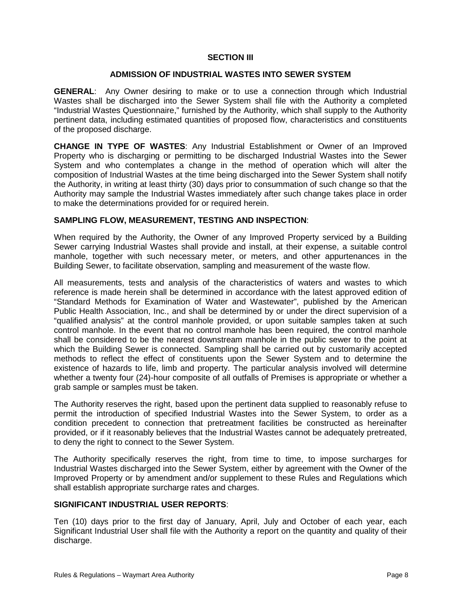# **SECTION III**

# **ADMISSION OF INDUSTRIAL WASTES INTO SEWER SYSTEM**

**GENERAL**: Any Owner desiring to make or to use a connection through which Industrial Wastes shall be discharged into the Sewer System shall file with the Authority a completed "Industrial Wastes Questionnaire," furnished by the Authority, which shall supply to the Authority pertinent data, including estimated quantities of proposed flow, characteristics and constituents of the proposed discharge.

**CHANGE IN TYPE OF WASTES**: Any Industrial Establishment or Owner of an Improved Property who is discharging or permitting to be discharged Industrial Wastes into the Sewer System and who contemplates a change in the method of operation which will alter the composition of Industrial Wastes at the time being discharged into the Sewer System shall notify the Authority, in writing at least thirty (30) days prior to consummation of such change so that the Authority may sample the Industrial Wastes immediately after such change takes place in order to make the determinations provided for or required herein.

# **SAMPLING FLOW, MEASUREMENT, TESTING AND INSPECTION**:

When required by the Authority, the Owner of any Improved Property serviced by a Building Sewer carrying Industrial Wastes shall provide and install, at their expense, a suitable control manhole, together with such necessary meter, or meters, and other appurtenances in the Building Sewer, to facilitate observation, sampling and measurement of the waste flow.

All measurements, tests and analysis of the characteristics of waters and wastes to which reference is made herein shall be determined in accordance with the latest approved edition of "Standard Methods for Examination of Water and Wastewater", published by the American Public Health Association, Inc., and shall be determined by or under the direct supervision of a "qualified analysis" at the control manhole provided, or upon suitable samples taken at such control manhole. In the event that no control manhole has been required, the control manhole shall be considered to be the nearest downstream manhole in the public sewer to the point at which the Building Sewer is connected. Sampling shall be carried out by customarily accepted methods to reflect the effect of constituents upon the Sewer System and to determine the existence of hazards to life, limb and property. The particular analysis involved will determine whether a twenty four (24)-hour composite of all outfalls of Premises is appropriate or whether a grab sample or samples must be taken.

The Authority reserves the right, based upon the pertinent data supplied to reasonably refuse to permit the introduction of specified Industrial Wastes into the Sewer System, to order as a condition precedent to connection that pretreatment facilities be constructed as hereinafter provided, or if it reasonably believes that the Industrial Wastes cannot be adequately pretreated, to deny the right to connect to the Sewer System.

The Authority specifically reserves the right, from time to time, to impose surcharges for Industrial Wastes discharged into the Sewer System, either by agreement with the Owner of the Improved Property or by amendment and/or supplement to these Rules and Regulations which shall establish appropriate surcharge rates and charges.

### **SIGNIFICANT INDUSTRIAL USER REPORTS**:

Ten (10) days prior to the first day of January, April, July and October of each year, each Significant Industrial User shall file with the Authority a report on the quantity and quality of their discharge.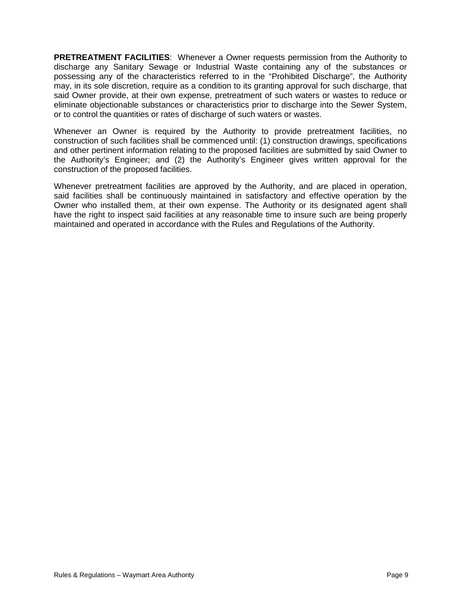**PRETREATMENT FACILITIES**: Whenever a Owner requests permission from the Authority to discharge any Sanitary Sewage or Industrial Waste containing any of the substances or possessing any of the characteristics referred to in the "Prohibited Discharge", the Authority may, in its sole discretion, require as a condition to its granting approval for such discharge, that said Owner provide, at their own expense, pretreatment of such waters or wastes to reduce or eliminate objectionable substances or characteristics prior to discharge into the Sewer System, or to control the quantities or rates of discharge of such waters or wastes.

Whenever an Owner is required by the Authority to provide pretreatment facilities, no construction of such facilities shall be commenced until: (1) construction drawings, specifications and other pertinent information relating to the proposed facilities are submitted by said Owner to the Authority's Engineer; and (2) the Authority's Engineer gives written approval for the construction of the proposed facilities.

Whenever pretreatment facilities are approved by the Authority, and are placed in operation, said facilities shall be continuously maintained in satisfactory and effective operation by the Owner who installed them, at their own expense. The Authority or its designated agent shall have the right to inspect said facilities at any reasonable time to insure such are being properly maintained and operated in accordance with the Rules and Regulations of the Authority.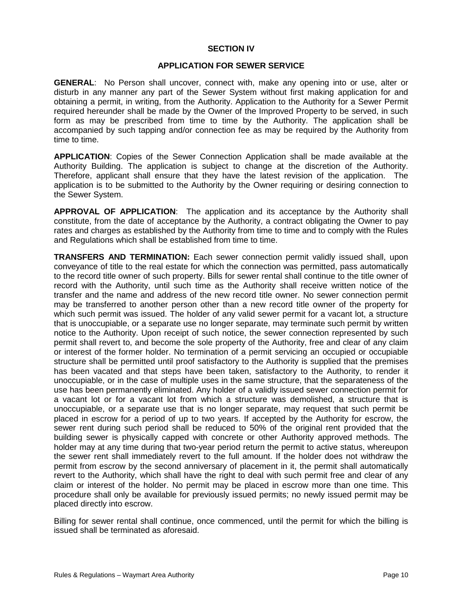#### **SECTION IV**

#### **APPLICATION FOR SEWER SERVICE**

**GENERAL**: No Person shall uncover, connect with, make any opening into or use, alter or disturb in any manner any part of the Sewer System without first making application for and obtaining a permit, in writing, from the Authority. Application to the Authority for a Sewer Permit required hereunder shall be made by the Owner of the Improved Property to be served, in such form as may be prescribed from time to time by the Authority. The application shall be accompanied by such tapping and/or connection fee as may be required by the Authority from time to time.

**APPLICATION**: Copies of the Sewer Connection Application shall be made available at the Authority Building. The application is subject to change at the discretion of the Authority. Therefore, applicant shall ensure that they have the latest revision of the application. The application is to be submitted to the Authority by the Owner requiring or desiring connection to the Sewer System.

**APPROVAL OF APPLICATION**: The application and its acceptance by the Authority shall constitute, from the date of acceptance by the Authority, a contract obligating the Owner to pay rates and charges as established by the Authority from time to time and to comply with the Rules and Regulations which shall be established from time to time.

**TRANSFERS AND TERMINATION:** Each sewer connection permit validly issued shall, upon conveyance of title to the real estate for which the connection was permitted, pass automatically to the record title owner of such property. Bills for sewer rental shall continue to the title owner of record with the Authority, until such time as the Authority shall receive written notice of the transfer and the name and address of the new record title owner. No sewer connection permit may be transferred to another person other than a new record title owner of the property for which such permit was issued. The holder of any valid sewer permit for a vacant lot, a structure that is unoccupiable, or a separate use no longer separate, may terminate such permit by written notice to the Authority. Upon receipt of such notice, the sewer connection represented by such permit shall revert to, and become the sole property of the Authority, free and clear of any claim or interest of the former holder. No termination of a permit servicing an occupied or occupiable structure shall be permitted until proof satisfactory to the Authority is supplied that the premises has been vacated and that steps have been taken, satisfactory to the Authority, to render it unoccupiable, or in the case of multiple uses in the same structure, that the separateness of the use has been permanently eliminated. Any holder of a validly issued sewer connection permit for a vacant lot or for a vacant lot from which a structure was demolished, a structure that is unoccupiable, or a separate use that is no longer separate, may request that such permit be placed in escrow for a period of up to two years. If accepted by the Authority for escrow, the sewer rent during such period shall be reduced to 50% of the original rent provided that the building sewer is physically capped with concrete or other Authority approved methods. The holder may at any time during that two-year period return the permit to active status, whereupon the sewer rent shall immediately revert to the full amount. If the holder does not withdraw the permit from escrow by the second anniversary of placement in it, the permit shall automatically revert to the Authority, which shall have the right to deal with such permit free and clear of any claim or interest of the holder. No permit may be placed in escrow more than one time. This procedure shall only be available for previously issued permits; no newly issued permit may be placed directly into escrow.

Billing for sewer rental shall continue, once commenced, until the permit for which the billing is issued shall be terminated as aforesaid.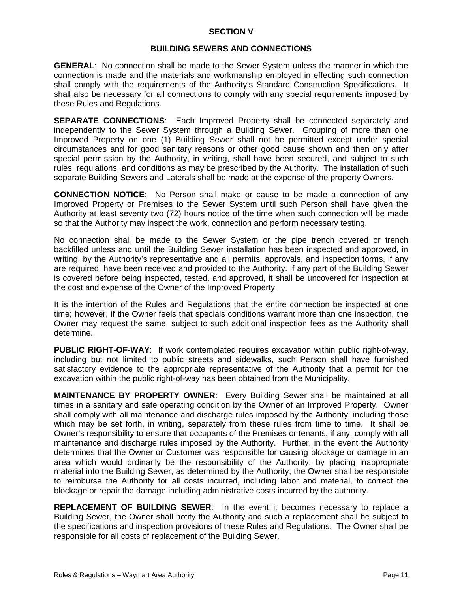# **SECTION V**

# **BUILDING SEWERS AND CONNECTIONS**

**GENERAL**: No connection shall be made to the Sewer System unless the manner in which the connection is made and the materials and workmanship employed in effecting such connection shall comply with the requirements of the Authority's Standard Construction Specifications. It shall also be necessary for all connections to comply with any special requirements imposed by these Rules and Regulations.

**SEPARATE CONNECTIONS**: Each Improved Property shall be connected separately and independently to the Sewer System through a Building Sewer. Grouping of more than one Improved Property on one (1) Building Sewer shall not be permitted except under special circumstances and for good sanitary reasons or other good cause shown and then only after special permission by the Authority, in writing, shall have been secured, and subject to such rules, regulations, and conditions as may be prescribed by the Authority. The installation of such separate Building Sewers and Laterals shall be made at the expense of the property Owners.

**CONNECTION NOTICE**: No Person shall make or cause to be made a connection of any Improved Property or Premises to the Sewer System until such Person shall have given the Authority at least seventy two (72) hours notice of the time when such connection will be made so that the Authority may inspect the work, connection and perform necessary testing.

No connection shall be made to the Sewer System or the pipe trench covered or trench backfilled unless and until the Building Sewer installation has been inspected and approved, in writing, by the Authority's representative and all permits, approvals, and inspection forms, if any are required, have been received and provided to the Authority. If any part of the Building Sewer is covered before being inspected, tested, and approved, it shall be uncovered for inspection at the cost and expense of the Owner of the Improved Property.

It is the intention of the Rules and Regulations that the entire connection be inspected at one time; however, if the Owner feels that specials conditions warrant more than one inspection, the Owner may request the same, subject to such additional inspection fees as the Authority shall determine.

**PUBLIC RIGHT-OF-WAY**: If work contemplated requires excavation within public right-of-way, including but not limited to public streets and sidewalks, such Person shall have furnished satisfactory evidence to the appropriate representative of the Authority that a permit for the excavation within the public right-of-way has been obtained from the Municipality.

**MAINTENANCE BY PROPERTY OWNER**: Every Building Sewer shall be maintained at all times in a sanitary and safe operating condition by the Owner of an Improved Property. Owner shall comply with all maintenance and discharge rules imposed by the Authority, including those which may be set forth, in writing, separately from these rules from time to time. It shall be Owner's responsibility to ensure that occupants of the Premises or tenants, if any, comply with all maintenance and discharge rules imposed by the Authority. Further, in the event the Authority determines that the Owner or Customer was responsible for causing blockage or damage in an area which would ordinarily be the responsibility of the Authority, by placing inappropriate material into the Building Sewer, as determined by the Authority, the Owner shall be responsible to reimburse the Authority for all costs incurred, including labor and material, to correct the blockage or repair the damage including administrative costs incurred by the authority.

**REPLACEMENT OF BUILDING SEWER**: In the event it becomes necessary to replace a Building Sewer, the Owner shall notify the Authority and such a replacement shall be subject to the specifications and inspection provisions of these Rules and Regulations. The Owner shall be responsible for all costs of replacement of the Building Sewer.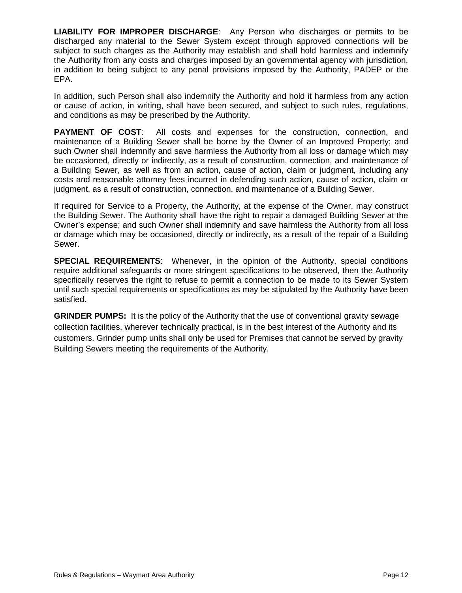**LIABILITY FOR IMPROPER DISCHARGE**: Any Person who discharges or permits to be discharged any material to the Sewer System except through approved connections will be subject to such charges as the Authority may establish and shall hold harmless and indemnify the Authority from any costs and charges imposed by an governmental agency with jurisdiction, in addition to being subject to any penal provisions imposed by the Authority, PADEP or the EPA.

In addition, such Person shall also indemnify the Authority and hold it harmless from any action or cause of action, in writing, shall have been secured, and subject to such rules, regulations, and conditions as may be prescribed by the Authority.

**PAYMENT OF COST**: All costs and expenses for the construction, connection, and maintenance of a Building Sewer shall be borne by the Owner of an Improved Property; and such Owner shall indemnify and save harmless the Authority from all loss or damage which may be occasioned, directly or indirectly, as a result of construction, connection, and maintenance of a Building Sewer, as well as from an action, cause of action, claim or judgment, including any costs and reasonable attorney fees incurred in defending such action, cause of action, claim or judgment, as a result of construction, connection, and maintenance of a Building Sewer.

If required for Service to a Property, the Authority, at the expense of the Owner, may construct the Building Sewer. The Authority shall have the right to repair a damaged Building Sewer at the Owner's expense; and such Owner shall indemnify and save harmless the Authority from all loss or damage which may be occasioned, directly or indirectly, as a result of the repair of a Building Sewer.

**SPECIAL REQUIREMENTS**: Whenever, in the opinion of the Authority, special conditions require additional safeguards or more stringent specifications to be observed, then the Authority specifically reserves the right to refuse to permit a connection to be made to its Sewer System until such special requirements or specifications as may be stipulated by the Authority have been satisfied.

**GRINDER PUMPS:** It is the policy of the Authority that the use of conventional gravity sewage collection facilities, wherever technically practical, is in the best interest of the Authority and its customers. Grinder pump units shall only be used for Premises that cannot be served by gravity Building Sewers meeting the requirements of the Authority.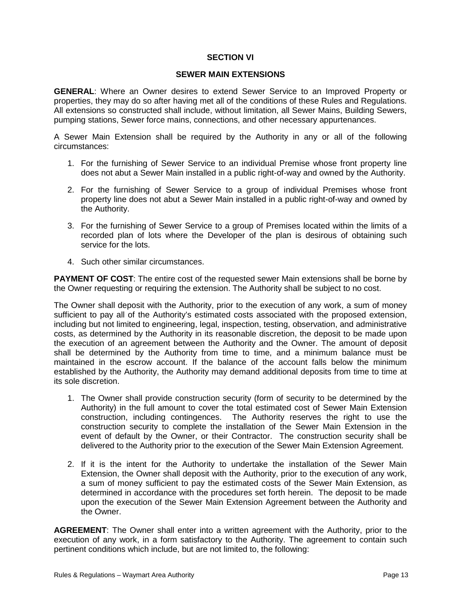# **SECTION VI**

#### **SEWER MAIN EXTENSIONS**

**GENERAL**: Where an Owner desires to extend Sewer Service to an Improved Property or properties, they may do so after having met all of the conditions of these Rules and Regulations. All extensions so constructed shall include, without limitation, all Sewer Mains, Building Sewers, pumping stations, Sewer force mains, connections, and other necessary appurtenances.

A Sewer Main Extension shall be required by the Authority in any or all of the following circumstances:

- 1. For the furnishing of Sewer Service to an individual Premise whose front property line does not abut a Sewer Main installed in a public right-of-way and owned by the Authority.
- 2. For the furnishing of Sewer Service to a group of individual Premises whose front property line does not abut a Sewer Main installed in a public right-of-way and owned by the Authority.
- 3. For the furnishing of Sewer Service to a group of Premises located within the limits of a recorded plan of lots where the Developer of the plan is desirous of obtaining such service for the lots.
- 4. Such other similar circumstances.

**PAYMENT OF COST:** The entire cost of the requested sewer Main extensions shall be borne by the Owner requesting or requiring the extension. The Authority shall be subject to no cost.

The Owner shall deposit with the Authority, prior to the execution of any work, a sum of money sufficient to pay all of the Authority's estimated costs associated with the proposed extension, including but not limited to engineering, legal, inspection, testing, observation, and administrative costs, as determined by the Authority in its reasonable discretion, the deposit to be made upon the execution of an agreement between the Authority and the Owner. The amount of deposit shall be determined by the Authority from time to time, and a minimum balance must be maintained in the escrow account. If the balance of the account falls below the minimum established by the Authority, the Authority may demand additional deposits from time to time at its sole discretion.

- 1. The Owner shall provide construction security (form of security to be determined by the Authority) in the full amount to cover the total estimated cost of Sewer Main Extension construction, including contingences. The Authority reserves the right to use the construction security to complete the installation of the Sewer Main Extension in the event of default by the Owner, or their Contractor. The construction security shall be delivered to the Authority prior to the execution of the Sewer Main Extension Agreement.
- 2. If it is the intent for the Authority to undertake the installation of the Sewer Main Extension, the Owner shall deposit with the Authority, prior to the execution of any work, a sum of money sufficient to pay the estimated costs of the Sewer Main Extension, as determined in accordance with the procedures set forth herein. The deposit to be made upon the execution of the Sewer Main Extension Agreement between the Authority and the Owner.

**AGREEMENT**: The Owner shall enter into a written agreement with the Authority, prior to the execution of any work, in a form satisfactory to the Authority. The agreement to contain such pertinent conditions which include, but are not limited to, the following: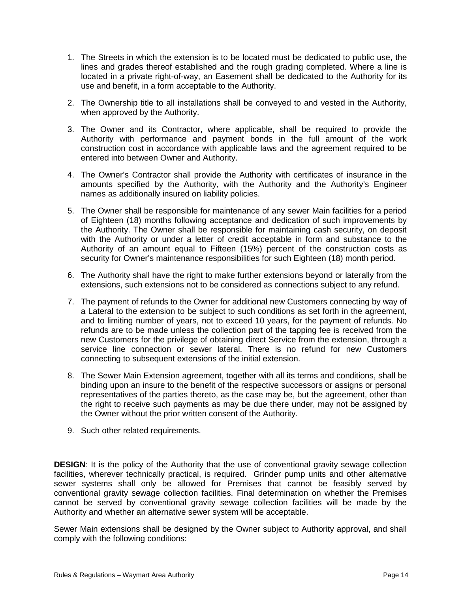- 1. The Streets in which the extension is to be located must be dedicated to public use, the lines and grades thereof established and the rough grading completed. Where a line is located in a private right-of-way, an Easement shall be dedicated to the Authority for its use and benefit, in a form acceptable to the Authority.
- 2. The Ownership title to all installations shall be conveyed to and vested in the Authority, when approved by the Authority.
- 3. The Owner and its Contractor, where applicable, shall be required to provide the Authority with performance and payment bonds in the full amount of the work construction cost in accordance with applicable laws and the agreement required to be entered into between Owner and Authority.
- 4. The Owner's Contractor shall provide the Authority with certificates of insurance in the amounts specified by the Authority, with the Authority and the Authority's Engineer names as additionally insured on liability policies.
- 5. The Owner shall be responsible for maintenance of any sewer Main facilities for a period of Eighteen (18) months following acceptance and dedication of such improvements by the Authority. The Owner shall be responsible for maintaining cash security, on deposit with the Authority or under a letter of credit acceptable in form and substance to the Authority of an amount equal to Fifteen (15%) percent of the construction costs as security for Owner's maintenance responsibilities for such Eighteen (18) month period.
- 6. The Authority shall have the right to make further extensions beyond or laterally from the extensions, such extensions not to be considered as connections subject to any refund.
- 7. The payment of refunds to the Owner for additional new Customers connecting by way of a Lateral to the extension to be subject to such conditions as set forth in the agreement, and to limiting number of years, not to exceed 10 years, for the payment of refunds. No refunds are to be made unless the collection part of the tapping fee is received from the new Customers for the privilege of obtaining direct Service from the extension, through a service line connection or sewer lateral. There is no refund for new Customers connecting to subsequent extensions of the initial extension.
- 8. The Sewer Main Extension agreement, together with all its terms and conditions, shall be binding upon an insure to the benefit of the respective successors or assigns or personal representatives of the parties thereto, as the case may be, but the agreement, other than the right to receive such payments as may be due there under, may not be assigned by the Owner without the prior written consent of the Authority.
- 9. Such other related requirements.

**DESIGN**: It is the policy of the Authority that the use of conventional gravity sewage collection facilities, wherever technically practical, is required. Grinder pump units and other alternative sewer systems shall only be allowed for Premises that cannot be feasibly served by conventional gravity sewage collection facilities. Final determination on whether the Premises cannot be served by conventional gravity sewage collection facilities will be made by the Authority and whether an alternative sewer system will be acceptable.

Sewer Main extensions shall be designed by the Owner subject to Authority approval, and shall comply with the following conditions: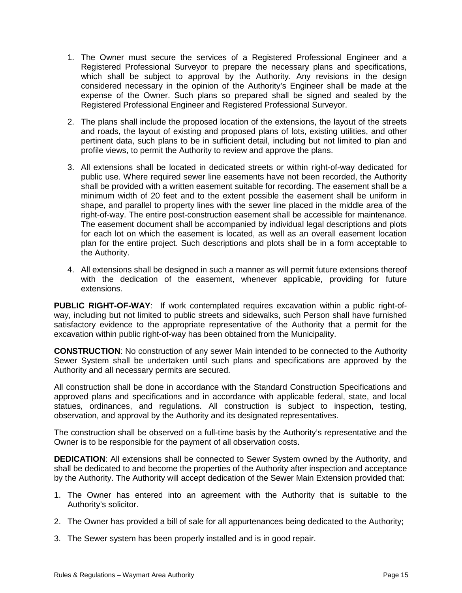- 1. The Owner must secure the services of a Registered Professional Engineer and a Registered Professional Surveyor to prepare the necessary plans and specifications, which shall be subject to approval by the Authority. Any revisions in the design considered necessary in the opinion of the Authority's Engineer shall be made at the expense of the Owner. Such plans so prepared shall be signed and sealed by the Registered Professional Engineer and Registered Professional Surveyor.
- 2. The plans shall include the proposed location of the extensions, the layout of the streets and roads, the layout of existing and proposed plans of lots, existing utilities, and other pertinent data, such plans to be in sufficient detail, including but not limited to plan and profile views, to permit the Authority to review and approve the plans.
- 3. All extensions shall be located in dedicated streets or within right-of-way dedicated for public use. Where required sewer line easements have not been recorded, the Authority shall be provided with a written easement suitable for recording. The easement shall be a minimum width of 20 feet and to the extent possible the easement shall be uniform in shape, and parallel to property lines with the sewer line placed in the middle area of the right-of-way. The entire post-construction easement shall be accessible for maintenance. The easement document shall be accompanied by individual legal descriptions and plots for each lot on which the easement is located, as well as an overall easement location plan for the entire project. Such descriptions and plots shall be in a form acceptable to the Authority.
- 4. All extensions shall be designed in such a manner as will permit future extensions thereof with the dedication of the easement, whenever applicable, providing for future extensions.

**PUBLIC RIGHT-OF-WAY**: If work contemplated requires excavation within a public right-ofway, including but not limited to public streets and sidewalks, such Person shall have furnished satisfactory evidence to the appropriate representative of the Authority that a permit for the excavation within public right-of-way has been obtained from the Municipality.

**CONSTRUCTION**: No construction of any sewer Main intended to be connected to the Authority Sewer System shall be undertaken until such plans and specifications are approved by the Authority and all necessary permits are secured.

All construction shall be done in accordance with the Standard Construction Specifications and approved plans and specifications and in accordance with applicable federal, state, and local statues, ordinances, and regulations. All construction is subject to inspection, testing, observation, and approval by the Authority and its designated representatives.

The construction shall be observed on a full-time basis by the Authority's representative and the Owner is to be responsible for the payment of all observation costs.

**DEDICATION**: All extensions shall be connected to Sewer System owned by the Authority, and shall be dedicated to and become the properties of the Authority after inspection and acceptance by the Authority. The Authority will accept dedication of the Sewer Main Extension provided that:

- 1. The Owner has entered into an agreement with the Authority that is suitable to the Authority's solicitor.
- 2. The Owner has provided a bill of sale for all appurtenances being dedicated to the Authority;
- 3. The Sewer system has been properly installed and is in good repair.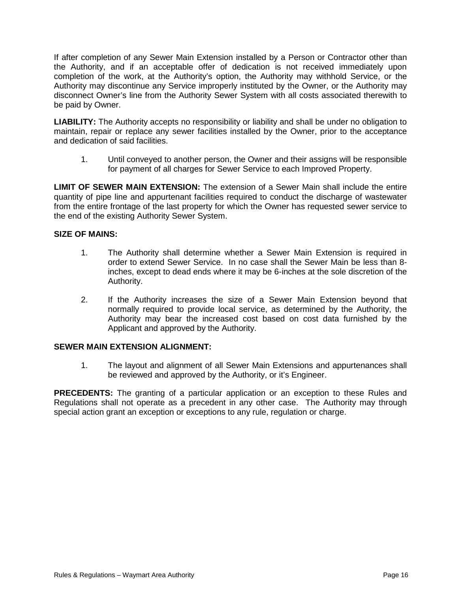If after completion of any Sewer Main Extension installed by a Person or Contractor other than the Authority, and if an acceptable offer of dedication is not received immediately upon completion of the work, at the Authority's option, the Authority may withhold Service, or the Authority may discontinue any Service improperly instituted by the Owner, or the Authority may disconnect Owner's line from the Authority Sewer System with all costs associated therewith to be paid by Owner.

**LIABILITY:** The Authority accepts no responsibility or liability and shall be under no obligation to maintain, repair or replace any sewer facilities installed by the Owner, prior to the acceptance and dedication of said facilities.

1. Until conveyed to another person, the Owner and their assigns will be responsible for payment of all charges for Sewer Service to each Improved Property.

**LIMIT OF SEWER MAIN EXTENSION:** The extension of a Sewer Main shall include the entire quantity of pipe line and appurtenant facilities required to conduct the discharge of wastewater from the entire frontage of the last property for which the Owner has requested sewer service to the end of the existing Authority Sewer System.

# **SIZE OF MAINS:**

- 1. The Authority shall determine whether a Sewer Main Extension is required in order to extend Sewer Service. In no case shall the Sewer Main be less than 8 inches, except to dead ends where it may be 6-inches at the sole discretion of the Authority.
- 2. If the Authority increases the size of a Sewer Main Extension beyond that normally required to provide local service, as determined by the Authority, the Authority may bear the increased cost based on cost data furnished by the Applicant and approved by the Authority.

# **SEWER MAIN EXTENSION ALIGNMENT:**

1. The layout and alignment of all Sewer Main Extensions and appurtenances shall be reviewed and approved by the Authority, or it's Engineer.

**PRECEDENTS:** The granting of a particular application or an exception to these Rules and Regulations shall not operate as a precedent in any other case. The Authority may through special action grant an exception or exceptions to any rule, regulation or charge.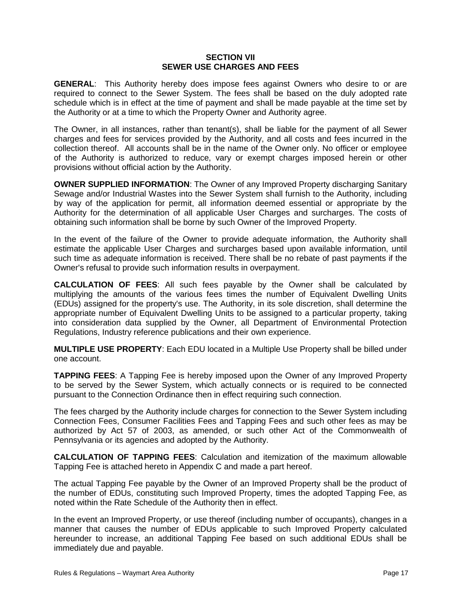### **SECTION VII SEWER USE CHARGES AND FEES**

**GENERAL**: This Authority hereby does impose fees against Owners who desire to or are required to connect to the Sewer System. The fees shall be based on the duly adopted rate schedule which is in effect at the time of payment and shall be made payable at the time set by the Authority or at a time to which the Property Owner and Authority agree.

The Owner, in all instances, rather than tenant(s), shall be liable for the payment of all Sewer charges and fees for services provided by the Authority, and all costs and fees incurred in the collection thereof. All accounts shall be in the name of the Owner only. No officer or employee of the Authority is authorized to reduce, vary or exempt charges imposed herein or other provisions without official action by the Authority.

**OWNER SUPPLIED INFORMATION**: The Owner of any Improved Property discharging Sanitary Sewage and/or Industrial Wastes into the Sewer System shall furnish to the Authority, including by way of the application for permit, all information deemed essential or appropriate by the Authority for the determination of all applicable User Charges and surcharges. The costs of obtaining such information shall be borne by such Owner of the Improved Property.

In the event of the failure of the Owner to provide adequate information, the Authority shall estimate the applicable User Charges and surcharges based upon available information, until such time as adequate information is received. There shall be no rebate of past payments if the Owner's refusal to provide such information results in overpayment.

**CALCULATION OF FEES**: All such fees payable by the Owner shall be calculated by multiplying the amounts of the various fees times the number of Equivalent Dwelling Units (EDUs) assigned for the property's use. The Authority, in its sole discretion, shall determine the appropriate number of Equivalent Dwelling Units to be assigned to a particular property, taking into consideration data supplied by the Owner, all Department of Environmental Protection Regulations, Industry reference publications and their own experience.

**MULTIPLE USE PROPERTY**: Each EDU located in a Multiple Use Property shall be billed under one account.

**TAPPING FEES**: A Tapping Fee is hereby imposed upon the Owner of any Improved Property to be served by the Sewer System, which actually connects or is required to be connected pursuant to the Connection Ordinance then in effect requiring such connection.

The fees charged by the Authority include charges for connection to the Sewer System including Connection Fees, Consumer Facilities Fees and Tapping Fees and such other fees as may be authorized by Act 57 of 2003, as amended, or such other Act of the Commonwealth of Pennsylvania or its agencies and adopted by the Authority.

**CALCULATION OF TAPPING FEES**: Calculation and itemization of the maximum allowable Tapping Fee is attached hereto in Appendix C and made a part hereof.

The actual Tapping Fee payable by the Owner of an Improved Property shall be the product of the number of EDUs, constituting such Improved Property, times the adopted Tapping Fee, as noted within the Rate Schedule of the Authority then in effect.

In the event an Improved Property, or use thereof (including number of occupants), changes in a manner that causes the number of EDUs applicable to such Improved Property calculated hereunder to increase, an additional Tapping Fee based on such additional EDUs shall be immediately due and payable.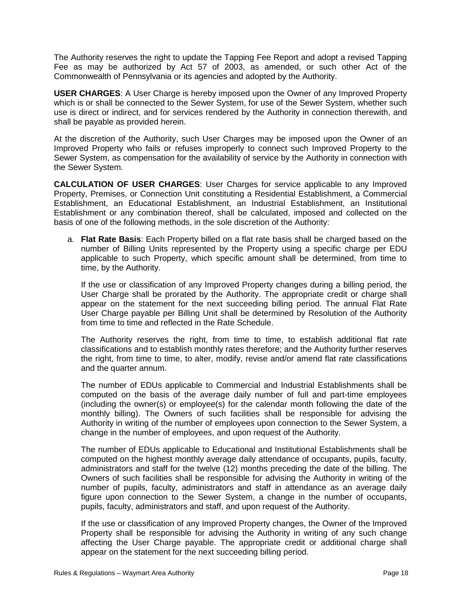The Authority reserves the right to update the Tapping Fee Report and adopt a revised Tapping Fee as may be authorized by Act 57 of 2003, as amended, or such other Act of the Commonwealth of Pennsylvania or its agencies and adopted by the Authority.

**USER CHARGES**: A User Charge is hereby imposed upon the Owner of any Improved Property which is or shall be connected to the Sewer System, for use of the Sewer System, whether such use is direct or indirect, and for services rendered by the Authority in connection therewith, and shall be payable as provided herein.

At the discretion of the Authority, such User Charges may be imposed upon the Owner of an Improved Property who fails or refuses improperly to connect such Improved Property to the Sewer System, as compensation for the availability of service by the Authority in connection with the Sewer System.

**CALCULATION OF USER CHARGES**: User Charges for service applicable to any Improved Property, Premises, or Connection Unit constituting a Residential Establishment, a Commercial [Establishment, an](http://establishment.an/) Educational Establishment, an Industrial [Establishment, an](http://establishment.an/) Institutional Establishment or any combination thereof, shall be calculated, imposed and collected on the basis of one of the following methods, in the sole discretion of the Authority:

a. **Flat Rate Basis**: Each Property billed on a flat rate basis shall be charged based on the number of Billing Units represented by the Property using a specific charge per EDU applicable to such Property, which specific amount shall be determined, from time to time, by the Authority.

If the use or classification of any Improved Property changes during a billing period, the User Charge shall be prorated by the Authority. The appropriate credit or charge shall appear on the statement for the next succeeding billing period. The annual Flat Rate User Charge payable per Billing Unit shall be determined by Resolution of the Authority from time to time and reflected in the Rate Schedule.

The Authority reserves the right, from time to time, to establish additional flat rate classifications and to establish monthly rates therefore; and the Authority further reserves the right, from time to time, to alter, modify, revise and/or amend flat rate classifications and the quarter annum.

The number of EDUs applicable to Commercial and Industrial Establishments shall be computed on the basis of the average daily number of full and part-time employees (including the owner(s) or employee(s) for the calendar month following the date of the monthly billing). The Owners of such facilities shall be responsible for advising the Authority in writing of the number of employees upon connection to the Sewer System, a change in the number of employees, and upon request of the Authority.

The number of EDUs applicable to Educational and Institutional Establishments shall be computed on the highest monthly average daily attendance of occupants, pupils, faculty, administrators and staff for the twelve (12) months preceding the date of the billing. The Owners of such facilities shall be responsible for advising the Authority in writing of the number of pupils, faculty, administrators and staff in attendance as an average daily figure upon connection to the Sewer System, a change in the number of occupants, pupils, faculty, administrators and staff, and upon request of the Authority.

If the use or classification of any Improved Property changes, the Owner of the Improved Property shall be responsible for advising the Authority in writing of any such change affecting the User Charge payable. The appropriate credit or additional charge shall appear on the statement for the next succeeding billing period.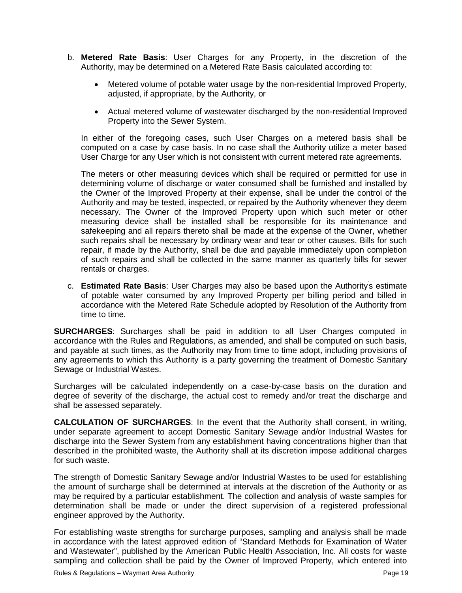- b. **Metered Rate Basis**: User Charges for any Property, in the discretion of the Authority, may be determined on a Metered Rate Basis calculated according to:
	- Metered volume of potable water usage by the non-residential Improved Property, adjusted, if appropriate, by the Authority, or
	- Actual metered volume of wastewater discharged by the non-residential Improved Property into the Sewer System.

In either of the foregoing cases, such User Charges on a metered basis shall be computed on a case by case basis. In no case shall the Authority utilize a meter based User Charge for any User which is not consistent with current metered rate agreements.

The meters or other measuring devices which shall be required or permitted for use in determining volume of discharge or water consumed shall be furnished and installed by the Owner of the Improved Property at their expense, shall be under the control of the Authority and may be tested, inspected, or repaired by the Authority whenever they deem necessary. The Owner of the Improved Property upon which such meter or other measuring device shall be installed shall be responsible for its maintenance and safekeeping and all repairs thereto shall be made at the expense of the Owner, whether such repairs shall be necessary by ordinary wear and tear or other causes. Bills for such repair, if made by the Authority, shall be due and payable immediately upon completion of such repairs and shall be collected in the same manner as quarterly bills for sewer rentals or charges.

c. **Estimated Rate Basis**: User Charges may also be based upon the Authority' s estimate of potable water consumed by any Improved Property per billing period and billed in accordance with the Metered Rate Schedule adopted by Resolution of the Authority from time to time.

**SURCHARGES**: Surcharges shall be paid in addition to all User Charges computed in accordance with the Rules and Regulations, as amended, and shall be computed on such basis, and payable at such times, as the Authority may from time to time adopt, including provisions of any agreements to which this Authority is a party governing the treatment of Domestic Sanitary Sewage or Industrial Wastes.

Surcharges will be calculated independently on a case-by-case basis on the duration and degree of severity of the discharge, the actual cost to remedy and/or treat the discharge and shall be assessed separately.

**CALCULATION OF SURCHARGES**: In the event that the Authority shall consent, in writing, under separate agreement to accept Domestic Sanitary Sewage and/or Industrial Wastes for discharge into the Sewer System from any establishment having concentrations higher than that described in the prohibited waste, the Authority shall at its discretion impose additional charges for such waste.

The strength of Domestic Sanitary Sewage and/or Industrial Wastes to be used for establishing the amount of surcharge shall be determined at intervals at the discretion of the Authority or as may be required by a particular establishment. The collection and analysis of waste samples for determination shall be made or under the direct supervision of a registered professional engineer approved by the Authority.

For establishing waste strengths for surcharge purposes, sampling and analysis shall be made in accordance with the latest approved edition of "Standard Methods for Examination of Water and Wastewater", published by the American Public Health Association, Inc. All costs for waste sampling and collection shall be paid by the Owner of Improved Property, which entered into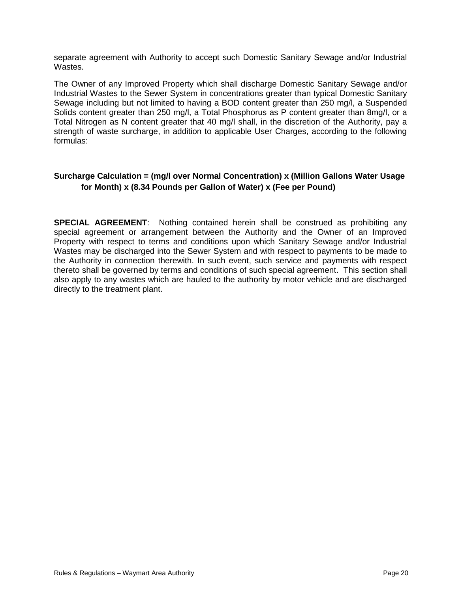separate agreement with Authority to accept such Domestic Sanitary Sewage and/or Industrial Wastes.

The Owner of any Improved Property which shall discharge Domestic Sanitary Sewage and/or Industrial Wastes to the Sewer System in concentrations greater than typical Domestic Sanitary Sewage including but not limited to having a BOD content greater than 250 mg/l, a Suspended Solids content greater than 250 mg/l, a Total Phosphorus as P content greater than 8mg/l, or a Total Nitrogen as N content greater that 40 mg/l shall, in the discretion of the Authority, pay a strength of waste surcharge, in addition to applicable User Charges, according to the following formulas:

# **Surcharge Calculation = (mg/l over Normal Concentration) x (Million Gallons Water Usage for Month) x (8.34 Pounds per Gallon of Water) x (Fee per Pound)**

**SPECIAL AGREEMENT**: Nothing contained herein shall be construed as prohibiting any special agreement or arrangement between the Authority and the Owner of an Improved Property with respect to terms and conditions upon which Sanitary Sewage and/or Industrial Wastes may be discharged into the Sewer System and with respect to payments to be made to the Authority in connection therewith. In such event, such service and payments with respect thereto shall be governed by terms and conditions of such special agreement. This section shall also apply to any wastes which are hauled to the authority by motor vehicle and are discharged directly to the treatment plant.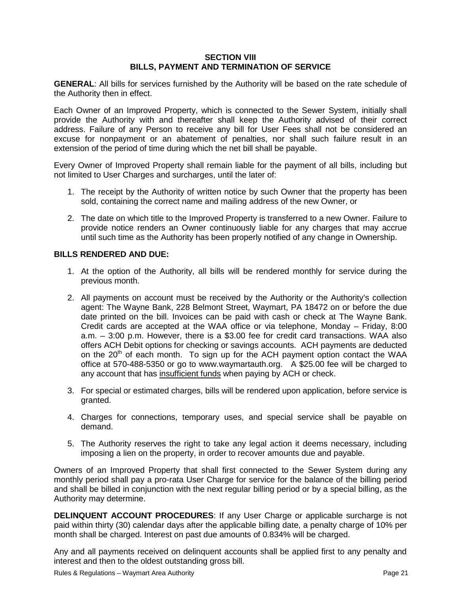# **SECTION VlII BILLS, PAYMENT AND TERMINATION OF SERVICE**

**GENERAL**: All bills for services furnished by the Authority will be based on the rate schedule of the Authority then in effect.

Each Owner of an Improved Property, which is connected to the Sewer System, initially shall provide the Authority with and thereafter shall keep the Authority advised of their correct address. Failure of any Person to receive any bill for User Fees shall not be considered an excuse for nonpayment or an abatement of penalties, nor shall such failure result in an extension of the period of time during which the net bill shall be payable.

Every Owner of Improved Property shall remain liable for the payment of all bills, including but not limited to User Charges and surcharges, until the later of:

- 1. The receipt by the Authority of written notice by such Owner that the property has been sold, containing the correct name and mailing address of the new Owner, or
- 2. The date on which title to the Improved Property is transferred to a new Owner. Failure to provide notice renders an Owner continuously liable for any charges that may accrue until such time as the Authority has been properly notified of any change in Ownership.

# **BILLS RENDERED AND DUE:**

- 1. At the option of the Authority, all bills will be rendered monthly for service during the previous month.
- 2. All payments on account must be received by the Authority or the Authority's collection agent: The Wayne Bank, 228 Belmont Street, Waymart, PA 18472 on or before the due date printed on the bill. Invoices can be paid with cash or check at The Wayne Bank. Credit cards are accepted at the WAA office or via telephone, Monday – Friday, 8:00 a.m. – 3:00 p.m. However, there is a \$3.00 fee for credit card transactions. WAA also offers ACH Debit options for checking or savings accounts. ACH payments are deducted on the  $20<sup>th</sup>$  of each month. To sign up for the ACH payment option contact the WAA office at 570-488-5350 or go to www.waymartauth.org. A \$25.00 fee will be charged to any account that has insufficient funds when paying by ACH or check.
- 3. For special or estimated charges, bills will be rendered upon application, before service is granted.
- 4. Charges for connections, temporary uses, and special service shall be payable on demand.
- 5. The Authority reserves the right to take any legal action it deems necessary, including imposing a lien on the property, in order to recover amounts due and payable.

Owners of an Improved Property that shall first connected to the Sewer System during any monthly period shall pay a pro-rata User Charge for service for the balance of the billing period and shall be billed in conjunction with the next regular billing period or by a special billing, as the Authority may determine.

**DELINQUENT ACCOUNT PROCEDURES**: If any User Charge or applicable surcharge is not paid within thirty (30) calendar days after the applicable billing date, a penalty charge of 10% per month shall be charged. Interest on past due amounts of 0.834% will be charged.

Any and all payments received on delinquent accounts shall be applied first to any penalty and interest and then to the oldest outstanding gross bill.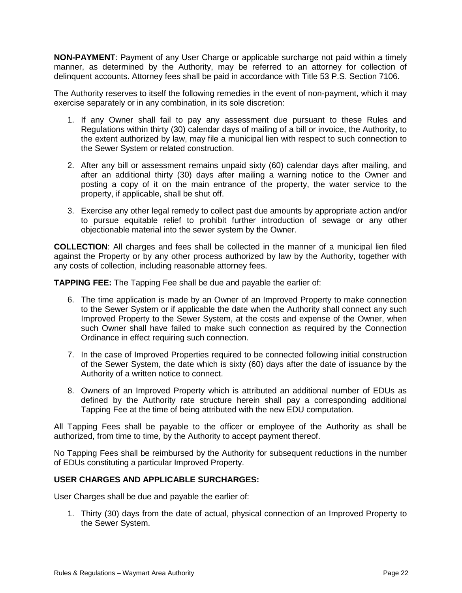**NON-PAYMENT**: Payment of any User Charge or applicable surcharge not paid within a timely manner, as determined by the Authority, may be referred to an attorney for collection of delinquent accounts. Attorney fees shall be paid in accordance with Title 53 P.S. Section 7106.

The Authority reserves to itself the following remedies in the event of non-payment, which it may exercise separately or in any combination, in its sole discretion:

- 1. If any Owner shall fail to pay any assessment due pursuant to these Rules and Regulations within thirty (30) calendar days of mailing of a bill or invoice, the Authority, to the extent authorized by law, may file a municipal lien with respect to such connection to the Sewer System or related construction.
- 2. After any bill or assessment remains unpaid sixty (60) calendar days after mailing, and after an additional thirty (30) days after mailing a warning notice to the Owner and posting a copy of it on the main entrance of the property, the water service to the property, if applicable, shall be shut off.
- 3. Exercise any other legal remedy to collect past due amounts by appropriate action and/or to pursue equitable relief to prohibit further introduction of sewage or any other objectionable material into the sewer system by the Owner.

**COLLECTION**: All charges and fees shall be collected in the manner of a municipal lien filed against the Property or by any other process authorized by law by the Authority, together with any costs of collection, including reasonable attorney fees.

**TAPPING FEE:** The Tapping Fee shall be due and payable the earlier of:

- 6. The time application is made by an Owner of an Improved Property to make connection to the Sewer System or if applicable the date when the Authority shall connect any such Improved Property to the Sewer System, at the costs and expense of the Owner, when such Owner shall have failed to make such connection as required by the Connection Ordinance in effect requiring such connection.
- 7. In the case of Improved Properties required to be connected following initial construction of the Sewer System, the date which is sixty (60) days after the date of issuance by the Authority of a written notice to connect.
- 8. Owners of an Improved Property which is attributed an additional number of EDUs as defined by the Authority rate structure herein shall pay a corresponding additional Tapping Fee at the time of being attributed with the new EDU computation.

All Tapping Fees shall be payable to the officer or employee of the Authority as shall be authorized, from time to time, by the Authority to accept payment thereof.

No Tapping Fees shall be reimbursed by the Authority for subsequent reductions in the number of EDUs constituting a particular Improved Property.

# **USER CHARGES AND APPLICABLE SURCHARGES:**

User Charges shall be due and payable the earlier of:

1. Thirty (30) days from the date of actual, physical connection of an Improved Property to the Sewer System.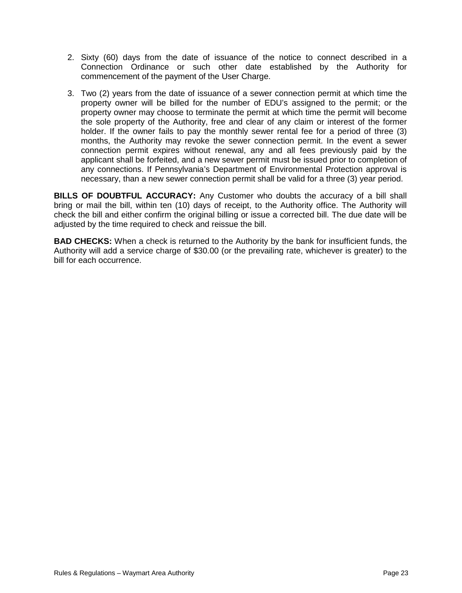- 2. Sixty (60) days from the date of issuance of the notice to connect described in a Connection Ordinance or such other date established by the Authority for commencement of the payment of the User Charge.
- 3. Two (2) years from the date of issuance of a sewer connection permit at which time the property owner will be billed for the number of EDU's assigned to the permit; or the property owner may choose to terminate the permit at which time the permit will become the sole property of the Authority, free and clear of any claim or interest of the former holder. If the owner fails to pay the monthly sewer rental fee for a period of three (3) months, the Authority may revoke the sewer connection permit. In the event a sewer connection permit expires without renewal, any and all fees previously paid by the applicant shall be forfeited, and a new sewer permit must be issued prior to completion of any connections. If Pennsylvania's Department of Environmental Protection approval is necessary, than a new sewer connection permit shall be valid for a three (3) year period.

**BILLS OF DOUBTFUL ACCURACY:** Any Customer who doubts the accuracy of a bill shall bring or mail the bill, within ten (10) days of receipt, to the Authority office. The Authority will check the bill and either confirm the original billing or issue a corrected bill. The due date will be adjusted by the time required to check and reissue the bill.

**BAD CHECKS:** When a check is returned to the Authority by the bank for insufficient funds, the Authority will add a service charge of \$30.00 (or the prevailing rate, whichever is greater) to the bill for each occurrence.